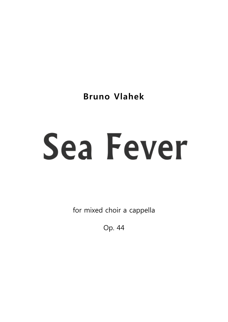**Bruno Vlahek** 

# Sea Fever

for mixed choir a cappella

Op. 44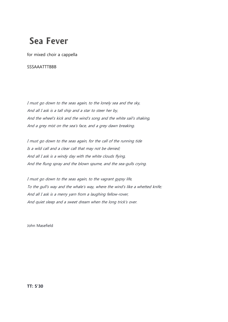### Sea Fever

for mixed choir a cappella

#### SSSAAATTTBBB

I must go down to the seas again, to the lonely sea and the sky, And all I ask is a tall ship and a star to steer her by, And the wheel's kick and the wind's song and the white sail's shaking, And a grey mist on the sea's face, and a grey dawn breaking.

I must go down to the seas again, for the call of the running tide Is a wild call and a clear call that may not be denied; And all I ask is a windy day with the white clouds flying, And the flung spray and the blown spume, and the sea-gulls crying.

I must go down to the seas again, to the vagrant gypsy life, To the gull's way and the whale's way, where the wind's like a whetted knife; And all I ask is a merry yarn from a laughing fellow-rover, And quiet sleep and a sweet dream when the long trick's over.

John Masefield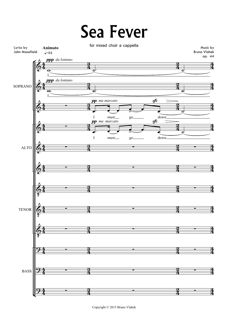## Sea Fever

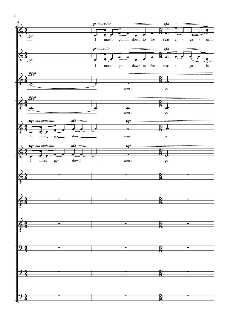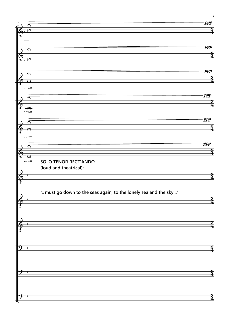| $\overline{7}$                       |                                                                   | - ppp         |
|--------------------------------------|-------------------------------------------------------------------|---------------|
| $\bigcap$<br><u>ia</u>               |                                                                   |               |
|                                      |                                                                   | $\frac{3}{4}$ |
|                                      |                                                                   |               |
|                                      |                                                                   |               |
| $\bigcap$                            |                                                                   | - ppp         |
|                                      |                                                                   | $\frac{3}{4}$ |
| †ा                                   |                                                                   |               |
|                                      |                                                                   |               |
|                                      |                                                                   |               |
| $\bigcap$                            |                                                                   | <b>ppp</b>    |
|                                      |                                                                   | $\frac{3}{4}$ |
| $\Theta$<br>Ø<br>$\vec{\bullet}$     |                                                                   |               |
| down                                 |                                                                   |               |
|                                      |                                                                   |               |
| $\bar{\cap}$                         |                                                                   | <b>ppp</b>    |
|                                      |                                                                   | $\frac{3}{4}$ |
| Ş<br><del>ह</del>                    |                                                                   |               |
| down                                 |                                                                   |               |
|                                      |                                                                   |               |
| $\bigcap$                            |                                                                   | - ppp         |
|                                      |                                                                   | $\frac{3}{4}$ |
| Ģ<br>$\overline{\mathbb{R}}$         |                                                                   |               |
| down                                 |                                                                   |               |
|                                      |                                                                   |               |
| $\bigcap$                            |                                                                   | <b>PPP</b>    |
|                                      |                                                                   | $\frac{3}{4}$ |
| $\overline{\bullet}$<br><del>∥</del> |                                                                   |               |
| down                                 | <b>SOLO TENOR RECITANDO</b>                                       |               |
|                                      | (loud and theatrical):                                            |               |
|                                      |                                                                   |               |
|                                      |                                                                   | $\frac{3}{4}$ |
| e)                                   |                                                                   |               |
|                                      |                                                                   |               |
|                                      | "I must go down to the seas again, to the lonely sea and the sky" |               |
|                                      |                                                                   |               |
|                                      |                                                                   | $\frac{3}{4}$ |
| $\frac{1}{8}$                        |                                                                   |               |
|                                      |                                                                   |               |
|                                      |                                                                   |               |
|                                      |                                                                   |               |
|                                      |                                                                   | $\frac{3}{4}$ |
|                                      |                                                                   |               |
|                                      |                                                                   |               |
|                                      |                                                                   |               |
| $\bullet$                            |                                                                   |               |
|                                      |                                                                   | $\frac{3}{4}$ |
|                                      |                                                                   |               |
|                                      |                                                                   |               |
|                                      |                                                                   |               |
| မြ                                   |                                                                   |               |
|                                      |                                                                   | $\frac{3}{4}$ |
|                                      |                                                                   |               |
|                                      |                                                                   |               |
|                                      |                                                                   |               |
| т                                    |                                                                   |               |
|                                      |                                                                   | $\frac{3}{4}$ |
|                                      |                                                                   |               |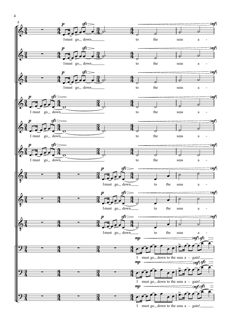

I must go \_ down to the seas a - gain!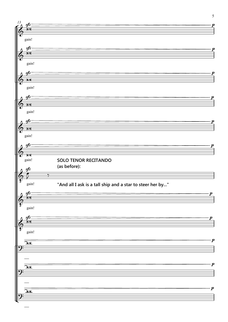| 13                                    |                                                           |                                                      |
|---------------------------------------|-----------------------------------------------------------|------------------------------------------------------|
| s f z                                 |                                                           | $\boldsymbol{p}$                                     |
| $\overline{\overline{\mathbf{P}}}$    |                                                           |                                                      |
| $\circledast$                         |                                                           |                                                      |
|                                       |                                                           |                                                      |
| gain!                                 |                                                           |                                                      |
|                                       |                                                           |                                                      |
|                                       |                                                           |                                                      |
| $sf{z}$                               |                                                           | $\boldsymbol{p}$                                     |
| $\overline{\mathbf{p}}$               |                                                           |                                                      |
| $\bigcirc$                            |                                                           |                                                      |
|                                       |                                                           |                                                      |
| gain!                                 |                                                           |                                                      |
|                                       |                                                           |                                                      |
|                                       |                                                           |                                                      |
| $sfz^-$                               |                                                           | $\boldsymbol{p}$                                     |
|                                       |                                                           |                                                      |
| Ō<br>G                                |                                                           |                                                      |
| J                                     |                                                           |                                                      |
| gain!                                 |                                                           |                                                      |
|                                       |                                                           |                                                      |
|                                       |                                                           |                                                      |
| $\underline{sfz}^-$                   |                                                           | $\boldsymbol{p}$                                     |
|                                       |                                                           |                                                      |
| $\bigcirc$<br>$\overline{\mathbf{p}}$ |                                                           |                                                      |
|                                       |                                                           |                                                      |
| gain!                                 |                                                           |                                                      |
|                                       |                                                           |                                                      |
|                                       |                                                           |                                                      |
| $\underline{sf}$                      |                                                           | $\boldsymbol{p}$                                     |
|                                       |                                                           |                                                      |
| $\bigcirc$<br>₫                       |                                                           |                                                      |
|                                       |                                                           |                                                      |
| gain!                                 |                                                           |                                                      |
|                                       |                                                           |                                                      |
|                                       |                                                           |                                                      |
| sfz                                   |                                                           | $\mathbf{p}$                                         |
|                                       |                                                           |                                                      |
| Ģ<br>$\overline{M}$                   |                                                           |                                                      |
|                                       |                                                           |                                                      |
| gain!                                 | <b>SOLO TENOR RECITANDO</b>                               |                                                      |
|                                       |                                                           |                                                      |
|                                       | (as before):                                              |                                                      |
|                                       |                                                           |                                                      |
| $\frac{sfz}{}$                        |                                                           |                                                      |
|                                       | $\overline{\mathbf{y}}$                                   |                                                      |
| H<br>ᠲ                                |                                                           |                                                      |
|                                       |                                                           |                                                      |
| gain!                                 |                                                           |                                                      |
|                                       | "And all I ask is a tall ship and a star to steer her by" |                                                      |
|                                       |                                                           |                                                      |
| sfz                                   |                                                           | $\boldsymbol{p}$                                     |
| —<br><del>∣∣</del>                    |                                                           |                                                      |
|                                       |                                                           |                                                      |
| ey<br>8                               |                                                           |                                                      |
| gain!                                 |                                                           |                                                      |
|                                       |                                                           |                                                      |
|                                       |                                                           |                                                      |
| s f z                                 |                                                           | $\boldsymbol{p}$                                     |
| $\mathbf{\bar{N}}$                    |                                                           |                                                      |
| ٩                                     |                                                           |                                                      |
| $\overline{\mathbf{g}}$               |                                                           |                                                      |
| gain!                                 |                                                           |                                                      |
|                                       |                                                           |                                                      |
|                                       |                                                           |                                                      |
| $\overline{\text{M}}$                 |                                                           |                                                      |
|                                       |                                                           |                                                      |
| $\Theta$                              |                                                           |                                                      |
|                                       |                                                           |                                                      |
|                                       |                                                           |                                                      |
|                                       |                                                           |                                                      |
|                                       |                                                           |                                                      |
| $\overline{\text{M}}$                 |                                                           |                                                      |
| F                                     |                                                           |                                                      |
|                                       |                                                           |                                                      |
|                                       |                                                           |                                                      |
|                                       |                                                           |                                                      |
|                                       |                                                           |                                                      |
|                                       |                                                           |                                                      |
| $\overline{\mathbb{R}}$               |                                                           |                                                      |
| ۴                                     |                                                           |                                                      |
| II                                    |                                                           | $\mathbf{p}$<br>$\boldsymbol{p}$<br>$\boldsymbol{p}$ |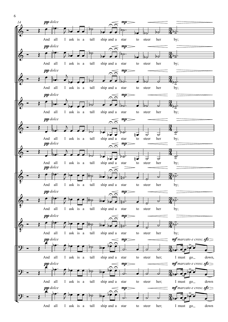É Ę And all pp *dolce* I ask is a tall ship and a star  $mp =$ to steer her by; *14* And pp *dolce* all I ask is a tall ship and a star  $mp=$ to steer her by; And all pp *dolce* I ask is a tall ship and a star  $mp=$ to steer her by; And all pp *dolce* I ask is a tall ship and a star  $mp =$ to steer her by; And pp *dolce* I ask is a tall ship and a star  $mp=$ to steer her by; And all pp *dolce* I ask is a tall ship and a star  $mp =$ to steer her by; And pp *dolce* I ask is a tall ship and a star to steer her by; And pp *dolce* all I ask is a tall ship and a star  $mp=$ to steer her by; And all pp *dolce* I ask is a tall ship and a star  $mp =$ to steer her by; And all pp *dolce* I ask is a tall ship and a star  $mp =$ to steer her; mf *marcato e cresc.* sfz I must go down, And all pp *dolce* I ask is a tall ship and a star  $mp =$ to steer her; mf *marcato e cresc.* sfz I must go down And all pp *dolce* I ask is a tall ship and a star  $mp_$ to steer her; mf *marcato e cresc.* sfz I must go down  $\overline{\mathbf{3}}$  $\frac{3}{4}$ po. <u>3</u>  $\frac{3}{4}$  $\overline{\mathbf{3}}$  $\frac{3}{4}$  $\overline{\mathbf{3}}$  $\frac{3}{4}$  $\overline{\mathbf{3}}$  $\frac{3}{4}$ 3  $\frac{3}{4}$  $\overline{\bf 3}$  $\frac{3}{4}$ <u>3</u>  $\frac{3}{4}$ <u>3</u>  $\frac{3}{4}$  $\frac{3}{2}$  $\frac{3}{4}$  $\frac{3}{2}$  $\frac{3}{4}$ <u>3</u>  $\frac{3}{4}$  $\Phi$  $\Phi$  $\Phi$  $\Phi$  $\Phi$  $\Phi$  $\Phi$ g  $\Phi$ g  $\Phi$ g <del>9:</del> <del>9:</del> <u>ີງ:</u>  $?$   $?$  $5 - -$  $b\rho$  $\overline{a}$  $\widetilde{\mathbb{P}}$  $\overline{\phantom{a}}$  $p\overline{\rho}$ .  $b$   $b$   $b$   $\frac{3}{4}$  $\longrightarrow$  $\frac{1}{2}$  be a d  $\flat \varphi$  $\overline{a}$  $\sum$  $\overline{\phantom{a}}$  $p\overline{\rho}$ .  $\frac{3}{4}$  bo  $\frac{3}{4}$  2  $\overline{2}$ .  $?$  $\overline{a}$ .  $\overline{ }$  $\overline{a}$  $b$ <sub>0</sub>  $\bullet$   $\bullet$  $\widetilde{\mathbb{P}}$  $\overline{\phantom{a}}$ bo.  $\bullet$  bo  $\circ$   $\frac{3}{4}$ <sub>b</sub>o  $\overline{b}$  $?$   $^{\circ}$  $\mathbb{b}\bullet$  $\overline{ }$  $\overline{a}$  $b$ <sub>0</sub>  $\bullet$   $\bullet$  $\widetilde{\mathbb{P}}$  $\overline{\phantom{a}}$ bo.  $\bullet$  bo  $\circ$   $\frac{3}{4}$ <sub>b</sub>o <u>bg:</u>  $\overrightarrow{ }$  $\overrightarrow{b}$  $\overline{\phantom{0}}$  $\bullet$   $\bullet$   $\bullet$   $\circ$   $\circ$  $\overrightarrow{b}$  ,  $\overrightarrow{d}$  $\frac{1}{2}$  $\overline{b}$ . <del>ਪ<sup>ਤਾ</sup> ਤੋਂ ਤ</del>ੋ  $\frac{1}{2}$  $\overline{\phantom{a}}$  $\overrightarrow{ }$  $\overrightarrow{b}$  $\overline{\phantom{a}}$  $\bullet$   $\bullet$   $\bullet$   $\circ$   $\circ$ b a  $\frac{1}{\sqrt{2}}$  $\overrightarrow{p}$  ship and a  $\overline{b}$ . <del>ਪ<sup>ਤਾ</sup> ਤੋਂ ਤ</del>  $\overline{\boldsymbol{\phi}}$  $\overline{\phantom{a}}$  $-$  }  $\rightarrow$  }  $\rightarrow$  }  $\overline{2}$  $b$ e e e  $\phi$  be be be  $\frac{1}{2}$  $\overline{)}$  $\frac{1}{2}$  $\frac{3}{4}$  $\overline{z}$  $\overline{\flat}$  $-$  }  $\circ$   $\circ$   $\circ$  $\bar{z}$  $b$ e e e bo be be  $\widetilde{\mathbb{P}}$  $\overline{ }$  $\frac{1}{2}$  $-$  }  $\circ$   $\circ$   $\circ$  $\bar{z}$  $b$ e e e  $\phi$  be be be  $\widetilde{\mathbb{P}}$  $\overline{ }$  $\frac{1}{2}$  $\frac{3}{4}$  $\frac{1}{2}$  $\overline{\flat}$  $\overrightarrow{ }$  $b$ p c  $\bar{z}$  $\frac{1}{2}$ d.  $\bullet$  d d  $\frac{3}{4}$  d  $\bullet$  $\geqslant$  $\geq$  $\sum_{i=1}^\infty$  $\frac{1}{\cdot}$  $\overrightarrow{ }$  $b$ p c  $\bar{z}$  $\frac{1}{\sqrt{2}}$ d.  $\bullet$  d d  $\frac{3}{4}$  d  $\bullet$  $\geqslant$  $\geq$  $\sum_{\nu\in\mathcal{L}}$  $\frac{1}{\cdot}$  $\overrightarrow{ }$  $\flat$   $\bullet$   $\bullet$  $\overline{2}$  $\frac{1}{2}$ d.  $\bullet$  d d  $\frac{3}{4}$  d  $\bullet$  $\geqslant$  $\geq$  $\sum_{i=1}^{\infty}$  $\frac{1}{\cdot}$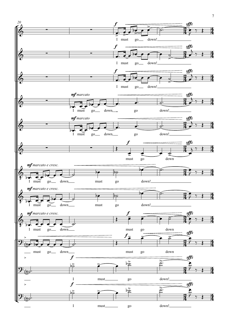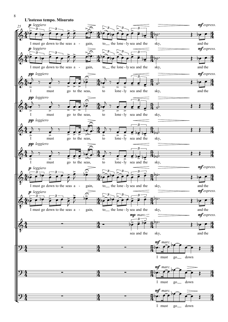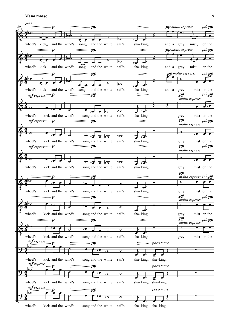**Meno mosso**

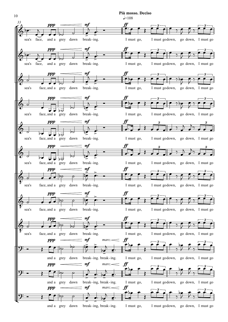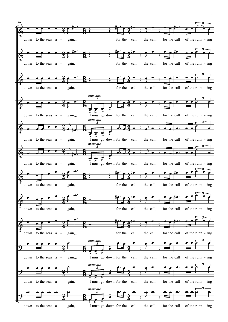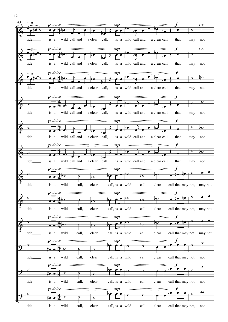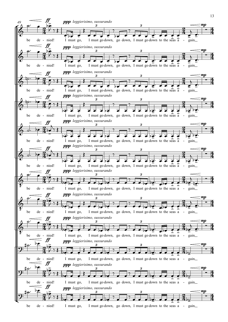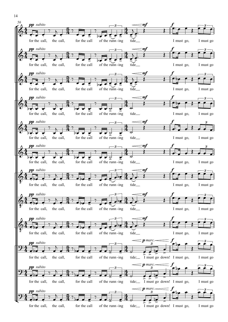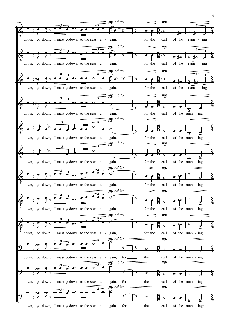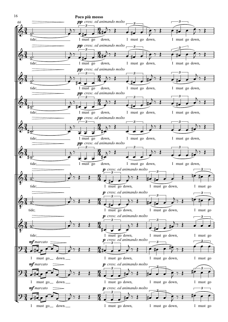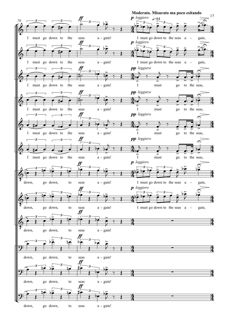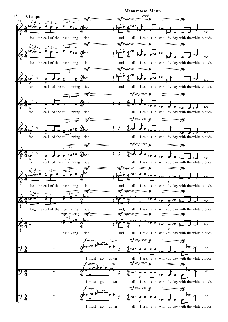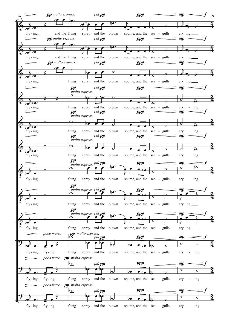| d∙<br>$\frac{13}{4}$<br>$b$ d' $b$ e<br>fly-ing,<br>and the flung<br>and the<br>blown<br>spume, and the sea - gulls<br>spray<br>cry ing.<br>pp molto espress.<br>più pp<br>$\boldsymbol{m}\boldsymbol{p}$<br><b>PPP</b><br>$b_{\biguparrow}$<br>Θ<br>$\overline{\nu}$<br>fly-ing,<br>and the flung<br>and the<br>blown<br>spume, and the sea - gulls<br>spray<br>cry ing.<br><b>pp</b> molto espress.<br>più pp<br>mр<br><b>ppp</b><br>DØ<br>blown<br>$fly$ - $ing$ ,<br>flung<br>spray<br>and the<br>spume, and the sea - gulls<br>cry ing.<br>più <b>pp</b><br>$\boldsymbol{pp}$<br>$\boldsymbol{m}\boldsymbol{p}$<br>ppp<br>molto espress.<br>$b\rightarrow b\rightarrow b$<br>and the<br>blown<br>spume, and the sea - gulls<br>flung<br>spray<br>fly - ing,<br>cry<br>ing.<br>più <b>pp</b><br>$\boldsymbol{m}$<br>$\boldsymbol{pp}$<br><b>ppp</b><br>molto espress.<br>$\frac{3}{4}$<br>$\flat \varphi$<br>Ħс<br>$b-b$<br>ٰ⇔<br>and the<br>spume, and the sea - gulls<br>flung<br>blown<br>fly-ing,<br>spray<br>ing.<br>cry<br>più pp<br>$\boldsymbol{m}$<br>$\boldsymbol{pp}$<br>ppp<br>molto espress.<br>$\frac{3}{4}$<br>$b\phi$<br>Ðø<br>fly-ing,<br>and the<br>blown<br>spume, and the sea - gulls<br>ing.<br>flung<br>spray<br>cry<br>$\boldsymbol{pp}$<br>$m$ olto espress. Più $pp$<br>$\boldsymbol{m}$<br><b>ppp</b><br>d•'<br>$\overline{\nu}$<br>$\frac{3}{4}$<br>fly-ing,<br>spume, and the sea - gulls<br>flung<br>spray and the blown<br>ing.<br>cry<br>$\boldsymbol{pp}$<br>molto espress. più <b>pp</b><br>$\boldsymbol{m}{\boldsymbol{p}}$<br><b>ppp</b><br>fly-ing,<br>spume, and the sea - gulls<br>and the<br>blown<br>flung<br>cry ing.<br>spray<br>$\boldsymbol{pp}$<br>molto espress. più <b>pp</b><br>$\boldsymbol{m}$<br><b>ppp</b><br>fly-ing,<br>spume, and the sea - gulls<br>spray and the blown<br>flung<br>cry ing.<br>pp molto espress.<br>poco marc.<br><u>bē</u><br><b>ppp</b><br>$\boldsymbol{m}$<br>più <b>pp</b><br>spray and the blown<br>spume, and the sea - gulls<br>fly-ing.<br>flung<br>$fly$ - $ing$ ,<br>ing<br>cry<br>poco marc. <b>pp</b> molto espress.<br><b>ppp</b><br>$\boldsymbol{m}$<br>più <b>pp</b><br>Dβ<br>77<br>۳с<br>flung<br>spray and the blown<br>spume, and the sea - gulls<br>fly-ing,<br>fly-ing.<br>ing<br>cry<br>poco marc. <b>pp</b> molto espress.<br><b>ppp</b><br>$\boldsymbol{m}$<br>più pp<br>De<br>$\frac{3}{4}$<br>$\overline{D}$<br>P<br>90<br>fly-ing,<br>fly-ing.<br>and the<br>blown<br>spume, and the sea - gulls<br>flung<br>spray<br>ing<br>cry | 78 | pp molto espress. |  | più pp | <b>PPP</b> | mр | 19 |
|-----------------------------------------------------------------------------------------------------------------------------------------------------------------------------------------------------------------------------------------------------------------------------------------------------------------------------------------------------------------------------------------------------------------------------------------------------------------------------------------------------------------------------------------------------------------------------------------------------------------------------------------------------------------------------------------------------------------------------------------------------------------------------------------------------------------------------------------------------------------------------------------------------------------------------------------------------------------------------------------------------------------------------------------------------------------------------------------------------------------------------------------------------------------------------------------------------------------------------------------------------------------------------------------------------------------------------------------------------------------------------------------------------------------------------------------------------------------------------------------------------------------------------------------------------------------------------------------------------------------------------------------------------------------------------------------------------------------------------------------------------------------------------------------------------------------------------------------------------------------------------------------------------------------------------------------------------------------------------------------------------------------------------------------------------------------------------------------------------------------------------------------------------------------------------------------------------------------------------------------------------------------------------------------------------------------------------------------------------------------------------------------------------------------------------------------------------------------------------------------------------------------------------------------|----|-------------------|--|--------|------------|----|----|
|                                                                                                                                                                                                                                                                                                                                                                                                                                                                                                                                                                                                                                                                                                                                                                                                                                                                                                                                                                                                                                                                                                                                                                                                                                                                                                                                                                                                                                                                                                                                                                                                                                                                                                                                                                                                                                                                                                                                                                                                                                                                                                                                                                                                                                                                                                                                                                                                                                                                                                                                         |    |                   |  |        |            |    |    |
|                                                                                                                                                                                                                                                                                                                                                                                                                                                                                                                                                                                                                                                                                                                                                                                                                                                                                                                                                                                                                                                                                                                                                                                                                                                                                                                                                                                                                                                                                                                                                                                                                                                                                                                                                                                                                                                                                                                                                                                                                                                                                                                                                                                                                                                                                                                                                                                                                                                                                                                                         |    |                   |  |        |            |    |    |
|                                                                                                                                                                                                                                                                                                                                                                                                                                                                                                                                                                                                                                                                                                                                                                                                                                                                                                                                                                                                                                                                                                                                                                                                                                                                                                                                                                                                                                                                                                                                                                                                                                                                                                                                                                                                                                                                                                                                                                                                                                                                                                                                                                                                                                                                                                                                                                                                                                                                                                                                         |    |                   |  |        |            |    |    |
|                                                                                                                                                                                                                                                                                                                                                                                                                                                                                                                                                                                                                                                                                                                                                                                                                                                                                                                                                                                                                                                                                                                                                                                                                                                                                                                                                                                                                                                                                                                                                                                                                                                                                                                                                                                                                                                                                                                                                                                                                                                                                                                                                                                                                                                                                                                                                                                                                                                                                                                                         |    |                   |  |        |            |    |    |
|                                                                                                                                                                                                                                                                                                                                                                                                                                                                                                                                                                                                                                                                                                                                                                                                                                                                                                                                                                                                                                                                                                                                                                                                                                                                                                                                                                                                                                                                                                                                                                                                                                                                                                                                                                                                                                                                                                                                                                                                                                                                                                                                                                                                                                                                                                                                                                                                                                                                                                                                         |    |                   |  |        |            |    |    |
|                                                                                                                                                                                                                                                                                                                                                                                                                                                                                                                                                                                                                                                                                                                                                                                                                                                                                                                                                                                                                                                                                                                                                                                                                                                                                                                                                                                                                                                                                                                                                                                                                                                                                                                                                                                                                                                                                                                                                                                                                                                                                                                                                                                                                                                                                                                                                                                                                                                                                                                                         |    |                   |  |        |            |    |    |
|                                                                                                                                                                                                                                                                                                                                                                                                                                                                                                                                                                                                                                                                                                                                                                                                                                                                                                                                                                                                                                                                                                                                                                                                                                                                                                                                                                                                                                                                                                                                                                                                                                                                                                                                                                                                                                                                                                                                                                                                                                                                                                                                                                                                                                                                                                                                                                                                                                                                                                                                         |    |                   |  |        |            |    |    |
|                                                                                                                                                                                                                                                                                                                                                                                                                                                                                                                                                                                                                                                                                                                                                                                                                                                                                                                                                                                                                                                                                                                                                                                                                                                                                                                                                                                                                                                                                                                                                                                                                                                                                                                                                                                                                                                                                                                                                                                                                                                                                                                                                                                                                                                                                                                                                                                                                                                                                                                                         |    |                   |  |        |            |    |    |
|                                                                                                                                                                                                                                                                                                                                                                                                                                                                                                                                                                                                                                                                                                                                                                                                                                                                                                                                                                                                                                                                                                                                                                                                                                                                                                                                                                                                                                                                                                                                                                                                                                                                                                                                                                                                                                                                                                                                                                                                                                                                                                                                                                                                                                                                                                                                                                                                                                                                                                                                         |    |                   |  |        |            |    |    |
|                                                                                                                                                                                                                                                                                                                                                                                                                                                                                                                                                                                                                                                                                                                                                                                                                                                                                                                                                                                                                                                                                                                                                                                                                                                                                                                                                                                                                                                                                                                                                                                                                                                                                                                                                                                                                                                                                                                                                                                                                                                                                                                                                                                                                                                                                                                                                                                                                                                                                                                                         |    |                   |  |        |            |    |    |
|                                                                                                                                                                                                                                                                                                                                                                                                                                                                                                                                                                                                                                                                                                                                                                                                                                                                                                                                                                                                                                                                                                                                                                                                                                                                                                                                                                                                                                                                                                                                                                                                                                                                                                                                                                                                                                                                                                                                                                                                                                                                                                                                                                                                                                                                                                                                                                                                                                                                                                                                         |    |                   |  |        |            |    |    |
|                                                                                                                                                                                                                                                                                                                                                                                                                                                                                                                                                                                                                                                                                                                                                                                                                                                                                                                                                                                                                                                                                                                                                                                                                                                                                                                                                                                                                                                                                                                                                                                                                                                                                                                                                                                                                                                                                                                                                                                                                                                                                                                                                                                                                                                                                                                                                                                                                                                                                                                                         |    |                   |  |        |            |    |    |
|                                                                                                                                                                                                                                                                                                                                                                                                                                                                                                                                                                                                                                                                                                                                                                                                                                                                                                                                                                                                                                                                                                                                                                                                                                                                                                                                                                                                                                                                                                                                                                                                                                                                                                                                                                                                                                                                                                                                                                                                                                                                                                                                                                                                                                                                                                                                                                                                                                                                                                                                         |    |                   |  |        |            |    |    |
|                                                                                                                                                                                                                                                                                                                                                                                                                                                                                                                                                                                                                                                                                                                                                                                                                                                                                                                                                                                                                                                                                                                                                                                                                                                                                                                                                                                                                                                                                                                                                                                                                                                                                                                                                                                                                                                                                                                                                                                                                                                                                                                                                                                                                                                                                                                                                                                                                                                                                                                                         |    |                   |  |        |            |    |    |
|                                                                                                                                                                                                                                                                                                                                                                                                                                                                                                                                                                                                                                                                                                                                                                                                                                                                                                                                                                                                                                                                                                                                                                                                                                                                                                                                                                                                                                                                                                                                                                                                                                                                                                                                                                                                                                                                                                                                                                                                                                                                                                                                                                                                                                                                                                                                                                                                                                                                                                                                         |    |                   |  |        |            |    |    |
|                                                                                                                                                                                                                                                                                                                                                                                                                                                                                                                                                                                                                                                                                                                                                                                                                                                                                                                                                                                                                                                                                                                                                                                                                                                                                                                                                                                                                                                                                                                                                                                                                                                                                                                                                                                                                                                                                                                                                                                                                                                                                                                                                                                                                                                                                                                                                                                                                                                                                                                                         |    |                   |  |        |            |    |    |
|                                                                                                                                                                                                                                                                                                                                                                                                                                                                                                                                                                                                                                                                                                                                                                                                                                                                                                                                                                                                                                                                                                                                                                                                                                                                                                                                                                                                                                                                                                                                                                                                                                                                                                                                                                                                                                                                                                                                                                                                                                                                                                                                                                                                                                                                                                                                                                                                                                                                                                                                         |    |                   |  |        |            |    |    |
|                                                                                                                                                                                                                                                                                                                                                                                                                                                                                                                                                                                                                                                                                                                                                                                                                                                                                                                                                                                                                                                                                                                                                                                                                                                                                                                                                                                                                                                                                                                                                                                                                                                                                                                                                                                                                                                                                                                                                                                                                                                                                                                                                                                                                                                                                                                                                                                                                                                                                                                                         |    |                   |  |        |            |    |    |
|                                                                                                                                                                                                                                                                                                                                                                                                                                                                                                                                                                                                                                                                                                                                                                                                                                                                                                                                                                                                                                                                                                                                                                                                                                                                                                                                                                                                                                                                                                                                                                                                                                                                                                                                                                                                                                                                                                                                                                                                                                                                                                                                                                                                                                                                                                                                                                                                                                                                                                                                         |    |                   |  |        |            |    |    |
|                                                                                                                                                                                                                                                                                                                                                                                                                                                                                                                                                                                                                                                                                                                                                                                                                                                                                                                                                                                                                                                                                                                                                                                                                                                                                                                                                                                                                                                                                                                                                                                                                                                                                                                                                                                                                                                                                                                                                                                                                                                                                                                                                                                                                                                                                                                                                                                                                                                                                                                                         |    |                   |  |        |            |    |    |
|                                                                                                                                                                                                                                                                                                                                                                                                                                                                                                                                                                                                                                                                                                                                                                                                                                                                                                                                                                                                                                                                                                                                                                                                                                                                                                                                                                                                                                                                                                                                                                                                                                                                                                                                                                                                                                                                                                                                                                                                                                                                                                                                                                                                                                                                                                                                                                                                                                                                                                                                         |    |                   |  |        |            |    |    |
|                                                                                                                                                                                                                                                                                                                                                                                                                                                                                                                                                                                                                                                                                                                                                                                                                                                                                                                                                                                                                                                                                                                                                                                                                                                                                                                                                                                                                                                                                                                                                                                                                                                                                                                                                                                                                                                                                                                                                                                                                                                                                                                                                                                                                                                                                                                                                                                                                                                                                                                                         |    |                   |  |        |            |    |    |
|                                                                                                                                                                                                                                                                                                                                                                                                                                                                                                                                                                                                                                                                                                                                                                                                                                                                                                                                                                                                                                                                                                                                                                                                                                                                                                                                                                                                                                                                                                                                                                                                                                                                                                                                                                                                                                                                                                                                                                                                                                                                                                                                                                                                                                                                                                                                                                                                                                                                                                                                         |    |                   |  |        |            |    |    |
|                                                                                                                                                                                                                                                                                                                                                                                                                                                                                                                                                                                                                                                                                                                                                                                                                                                                                                                                                                                                                                                                                                                                                                                                                                                                                                                                                                                                                                                                                                                                                                                                                                                                                                                                                                                                                                                                                                                                                                                                                                                                                                                                                                                                                                                                                                                                                                                                                                                                                                                                         |    |                   |  |        |            |    |    |
|                                                                                                                                                                                                                                                                                                                                                                                                                                                                                                                                                                                                                                                                                                                                                                                                                                                                                                                                                                                                                                                                                                                                                                                                                                                                                                                                                                                                                                                                                                                                                                                                                                                                                                                                                                                                                                                                                                                                                                                                                                                                                                                                                                                                                                                                                                                                                                                                                                                                                                                                         |    |                   |  |        |            |    |    |
|                                                                                                                                                                                                                                                                                                                                                                                                                                                                                                                                                                                                                                                                                                                                                                                                                                                                                                                                                                                                                                                                                                                                                                                                                                                                                                                                                                                                                                                                                                                                                                                                                                                                                                                                                                                                                                                                                                                                                                                                                                                                                                                                                                                                                                                                                                                                                                                                                                                                                                                                         |    |                   |  |        |            |    |    |
|                                                                                                                                                                                                                                                                                                                                                                                                                                                                                                                                                                                                                                                                                                                                                                                                                                                                                                                                                                                                                                                                                                                                                                                                                                                                                                                                                                                                                                                                                                                                                                                                                                                                                                                                                                                                                                                                                                                                                                                                                                                                                                                                                                                                                                                                                                                                                                                                                                                                                                                                         |    |                   |  |        |            |    |    |
|                                                                                                                                                                                                                                                                                                                                                                                                                                                                                                                                                                                                                                                                                                                                                                                                                                                                                                                                                                                                                                                                                                                                                                                                                                                                                                                                                                                                                                                                                                                                                                                                                                                                                                                                                                                                                                                                                                                                                                                                                                                                                                                                                                                                                                                                                                                                                                                                                                                                                                                                         |    |                   |  |        |            |    |    |
|                                                                                                                                                                                                                                                                                                                                                                                                                                                                                                                                                                                                                                                                                                                                                                                                                                                                                                                                                                                                                                                                                                                                                                                                                                                                                                                                                                                                                                                                                                                                                                                                                                                                                                                                                                                                                                                                                                                                                                                                                                                                                                                                                                                                                                                                                                                                                                                                                                                                                                                                         |    |                   |  |        |            |    |    |
|                                                                                                                                                                                                                                                                                                                                                                                                                                                                                                                                                                                                                                                                                                                                                                                                                                                                                                                                                                                                                                                                                                                                                                                                                                                                                                                                                                                                                                                                                                                                                                                                                                                                                                                                                                                                                                                                                                                                                                                                                                                                                                                                                                                                                                                                                                                                                                                                                                                                                                                                         |    |                   |  |        |            |    |    |
|                                                                                                                                                                                                                                                                                                                                                                                                                                                                                                                                                                                                                                                                                                                                                                                                                                                                                                                                                                                                                                                                                                                                                                                                                                                                                                                                                                                                                                                                                                                                                                                                                                                                                                                                                                                                                                                                                                                                                                                                                                                                                                                                                                                                                                                                                                                                                                                                                                                                                                                                         |    |                   |  |        |            |    |    |
|                                                                                                                                                                                                                                                                                                                                                                                                                                                                                                                                                                                                                                                                                                                                                                                                                                                                                                                                                                                                                                                                                                                                                                                                                                                                                                                                                                                                                                                                                                                                                                                                                                                                                                                                                                                                                                                                                                                                                                                                                                                                                                                                                                                                                                                                                                                                                                                                                                                                                                                                         |    |                   |  |        |            |    |    |
|                                                                                                                                                                                                                                                                                                                                                                                                                                                                                                                                                                                                                                                                                                                                                                                                                                                                                                                                                                                                                                                                                                                                                                                                                                                                                                                                                                                                                                                                                                                                                                                                                                                                                                                                                                                                                                                                                                                                                                                                                                                                                                                                                                                                                                                                                                                                                                                                                                                                                                                                         |    |                   |  |        |            |    |    |
|                                                                                                                                                                                                                                                                                                                                                                                                                                                                                                                                                                                                                                                                                                                                                                                                                                                                                                                                                                                                                                                                                                                                                                                                                                                                                                                                                                                                                                                                                                                                                                                                                                                                                                                                                                                                                                                                                                                                                                                                                                                                                                                                                                                                                                                                                                                                                                                                                                                                                                                                         |    |                   |  |        |            |    |    |
|                                                                                                                                                                                                                                                                                                                                                                                                                                                                                                                                                                                                                                                                                                                                                                                                                                                                                                                                                                                                                                                                                                                                                                                                                                                                                                                                                                                                                                                                                                                                                                                                                                                                                                                                                                                                                                                                                                                                                                                                                                                                                                                                                                                                                                                                                                                                                                                                                                                                                                                                         |    |                   |  |        |            |    |    |
|                                                                                                                                                                                                                                                                                                                                                                                                                                                                                                                                                                                                                                                                                                                                                                                                                                                                                                                                                                                                                                                                                                                                                                                                                                                                                                                                                                                                                                                                                                                                                                                                                                                                                                                                                                                                                                                                                                                                                                                                                                                                                                                                                                                                                                                                                                                                                                                                                                                                                                                                         |    |                   |  |        |            |    |    |
|                                                                                                                                                                                                                                                                                                                                                                                                                                                                                                                                                                                                                                                                                                                                                                                                                                                                                                                                                                                                                                                                                                                                                                                                                                                                                                                                                                                                                                                                                                                                                                                                                                                                                                                                                                                                                                                                                                                                                                                                                                                                                                                                                                                                                                                                                                                                                                                                                                                                                                                                         |    |                   |  |        |            |    |    |
|                                                                                                                                                                                                                                                                                                                                                                                                                                                                                                                                                                                                                                                                                                                                                                                                                                                                                                                                                                                                                                                                                                                                                                                                                                                                                                                                                                                                                                                                                                                                                                                                                                                                                                                                                                                                                                                                                                                                                                                                                                                                                                                                                                                                                                                                                                                                                                                                                                                                                                                                         |    |                   |  |        |            |    |    |
|                                                                                                                                                                                                                                                                                                                                                                                                                                                                                                                                                                                                                                                                                                                                                                                                                                                                                                                                                                                                                                                                                                                                                                                                                                                                                                                                                                                                                                                                                                                                                                                                                                                                                                                                                                                                                                                                                                                                                                                                                                                                                                                                                                                                                                                                                                                                                                                                                                                                                                                                         |    |                   |  |        |            |    |    |
|                                                                                                                                                                                                                                                                                                                                                                                                                                                                                                                                                                                                                                                                                                                                                                                                                                                                                                                                                                                                                                                                                                                                                                                                                                                                                                                                                                                                                                                                                                                                                                                                                                                                                                                                                                                                                                                                                                                                                                                                                                                                                                                                                                                                                                                                                                                                                                                                                                                                                                                                         |    |                   |  |        |            |    |    |
|                                                                                                                                                                                                                                                                                                                                                                                                                                                                                                                                                                                                                                                                                                                                                                                                                                                                                                                                                                                                                                                                                                                                                                                                                                                                                                                                                                                                                                                                                                                                                                                                                                                                                                                                                                                                                                                                                                                                                                                                                                                                                                                                                                                                                                                                                                                                                                                                                                                                                                                                         |    |                   |  |        |            |    |    |
|                                                                                                                                                                                                                                                                                                                                                                                                                                                                                                                                                                                                                                                                                                                                                                                                                                                                                                                                                                                                                                                                                                                                                                                                                                                                                                                                                                                                                                                                                                                                                                                                                                                                                                                                                                                                                                                                                                                                                                                                                                                                                                                                                                                                                                                                                                                                                                                                                                                                                                                                         |    |                   |  |        |            |    |    |
|                                                                                                                                                                                                                                                                                                                                                                                                                                                                                                                                                                                                                                                                                                                                                                                                                                                                                                                                                                                                                                                                                                                                                                                                                                                                                                                                                                                                                                                                                                                                                                                                                                                                                                                                                                                                                                                                                                                                                                                                                                                                                                                                                                                                                                                                                                                                                                                                                                                                                                                                         |    |                   |  |        |            |    |    |
|                                                                                                                                                                                                                                                                                                                                                                                                                                                                                                                                                                                                                                                                                                                                                                                                                                                                                                                                                                                                                                                                                                                                                                                                                                                                                                                                                                                                                                                                                                                                                                                                                                                                                                                                                                                                                                                                                                                                                                                                                                                                                                                                                                                                                                                                                                                                                                                                                                                                                                                                         |    |                   |  |        |            |    |    |
|                                                                                                                                                                                                                                                                                                                                                                                                                                                                                                                                                                                                                                                                                                                                                                                                                                                                                                                                                                                                                                                                                                                                                                                                                                                                                                                                                                                                                                                                                                                                                                                                                                                                                                                                                                                                                                                                                                                                                                                                                                                                                                                                                                                                                                                                                                                                                                                                                                                                                                                                         |    |                   |  |        |            |    |    |
|                                                                                                                                                                                                                                                                                                                                                                                                                                                                                                                                                                                                                                                                                                                                                                                                                                                                                                                                                                                                                                                                                                                                                                                                                                                                                                                                                                                                                                                                                                                                                                                                                                                                                                                                                                                                                                                                                                                                                                                                                                                                                                                                                                                                                                                                                                                                                                                                                                                                                                                                         |    |                   |  |        |            |    |    |
|                                                                                                                                                                                                                                                                                                                                                                                                                                                                                                                                                                                                                                                                                                                                                                                                                                                                                                                                                                                                                                                                                                                                                                                                                                                                                                                                                                                                                                                                                                                                                                                                                                                                                                                                                                                                                                                                                                                                                                                                                                                                                                                                                                                                                                                                                                                                                                                                                                                                                                                                         |    |                   |  |        |            |    |    |
|                                                                                                                                                                                                                                                                                                                                                                                                                                                                                                                                                                                                                                                                                                                                                                                                                                                                                                                                                                                                                                                                                                                                                                                                                                                                                                                                                                                                                                                                                                                                                                                                                                                                                                                                                                                                                                                                                                                                                                                                                                                                                                                                                                                                                                                                                                                                                                                                                                                                                                                                         |    |                   |  |        |            |    |    |
|                                                                                                                                                                                                                                                                                                                                                                                                                                                                                                                                                                                                                                                                                                                                                                                                                                                                                                                                                                                                                                                                                                                                                                                                                                                                                                                                                                                                                                                                                                                                                                                                                                                                                                                                                                                                                                                                                                                                                                                                                                                                                                                                                                                                                                                                                                                                                                                                                                                                                                                                         |    |                   |  |        |            |    |    |
|                                                                                                                                                                                                                                                                                                                                                                                                                                                                                                                                                                                                                                                                                                                                                                                                                                                                                                                                                                                                                                                                                                                                                                                                                                                                                                                                                                                                                                                                                                                                                                                                                                                                                                                                                                                                                                                                                                                                                                                                                                                                                                                                                                                                                                                                                                                                                                                                                                                                                                                                         |    |                   |  |        |            |    |    |
|                                                                                                                                                                                                                                                                                                                                                                                                                                                                                                                                                                                                                                                                                                                                                                                                                                                                                                                                                                                                                                                                                                                                                                                                                                                                                                                                                                                                                                                                                                                                                                                                                                                                                                                                                                                                                                                                                                                                                                                                                                                                                                                                                                                                                                                                                                                                                                                                                                                                                                                                         |    |                   |  |        |            |    |    |
|                                                                                                                                                                                                                                                                                                                                                                                                                                                                                                                                                                                                                                                                                                                                                                                                                                                                                                                                                                                                                                                                                                                                                                                                                                                                                                                                                                                                                                                                                                                                                                                                                                                                                                                                                                                                                                                                                                                                                                                                                                                                                                                                                                                                                                                                                                                                                                                                                                                                                                                                         |    |                   |  |        |            |    |    |
|                                                                                                                                                                                                                                                                                                                                                                                                                                                                                                                                                                                                                                                                                                                                                                                                                                                                                                                                                                                                                                                                                                                                                                                                                                                                                                                                                                                                                                                                                                                                                                                                                                                                                                                                                                                                                                                                                                                                                                                                                                                                                                                                                                                                                                                                                                                                                                                                                                                                                                                                         |    |                   |  |        |            |    |    |
|                                                                                                                                                                                                                                                                                                                                                                                                                                                                                                                                                                                                                                                                                                                                                                                                                                                                                                                                                                                                                                                                                                                                                                                                                                                                                                                                                                                                                                                                                                                                                                                                                                                                                                                                                                                                                                                                                                                                                                                                                                                                                                                                                                                                                                                                                                                                                                                                                                                                                                                                         |    |                   |  |        |            |    |    |
|                                                                                                                                                                                                                                                                                                                                                                                                                                                                                                                                                                                                                                                                                                                                                                                                                                                                                                                                                                                                                                                                                                                                                                                                                                                                                                                                                                                                                                                                                                                                                                                                                                                                                                                                                                                                                                                                                                                                                                                                                                                                                                                                                                                                                                                                                                                                                                                                                                                                                                                                         |    |                   |  |        |            |    |    |
|                                                                                                                                                                                                                                                                                                                                                                                                                                                                                                                                                                                                                                                                                                                                                                                                                                                                                                                                                                                                                                                                                                                                                                                                                                                                                                                                                                                                                                                                                                                                                                                                                                                                                                                                                                                                                                                                                                                                                                                                                                                                                                                                                                                                                                                                                                                                                                                                                                                                                                                                         |    |                   |  |        |            |    |    |
|                                                                                                                                                                                                                                                                                                                                                                                                                                                                                                                                                                                                                                                                                                                                                                                                                                                                                                                                                                                                                                                                                                                                                                                                                                                                                                                                                                                                                                                                                                                                                                                                                                                                                                                                                                                                                                                                                                                                                                                                                                                                                                                                                                                                                                                                                                                                                                                                                                                                                                                                         |    |                   |  |        |            |    |    |
|                                                                                                                                                                                                                                                                                                                                                                                                                                                                                                                                                                                                                                                                                                                                                                                                                                                                                                                                                                                                                                                                                                                                                                                                                                                                                                                                                                                                                                                                                                                                                                                                                                                                                                                                                                                                                                                                                                                                                                                                                                                                                                                                                                                                                                                                                                                                                                                                                                                                                                                                         |    |                   |  |        |            |    |    |
|                                                                                                                                                                                                                                                                                                                                                                                                                                                                                                                                                                                                                                                                                                                                                                                                                                                                                                                                                                                                                                                                                                                                                                                                                                                                                                                                                                                                                                                                                                                                                                                                                                                                                                                                                                                                                                                                                                                                                                                                                                                                                                                                                                                                                                                                                                                                                                                                                                                                                                                                         |    |                   |  |        |            |    |    |
|                                                                                                                                                                                                                                                                                                                                                                                                                                                                                                                                                                                                                                                                                                                                                                                                                                                                                                                                                                                                                                                                                                                                                                                                                                                                                                                                                                                                                                                                                                                                                                                                                                                                                                                                                                                                                                                                                                                                                                                                                                                                                                                                                                                                                                                                                                                                                                                                                                                                                                                                         |    |                   |  |        |            |    |    |
|                                                                                                                                                                                                                                                                                                                                                                                                                                                                                                                                                                                                                                                                                                                                                                                                                                                                                                                                                                                                                                                                                                                                                                                                                                                                                                                                                                                                                                                                                                                                                                                                                                                                                                                                                                                                                                                                                                                                                                                                                                                                                                                                                                                                                                                                                                                                                                                                                                                                                                                                         |    |                   |  |        |            |    |    |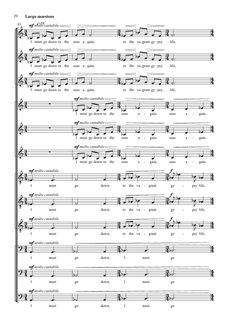#### **Largo maestoso** 20

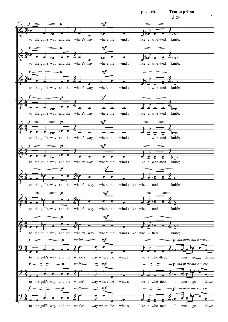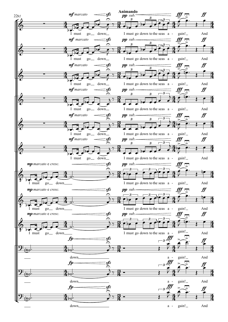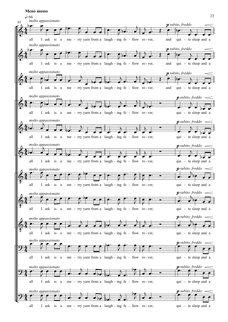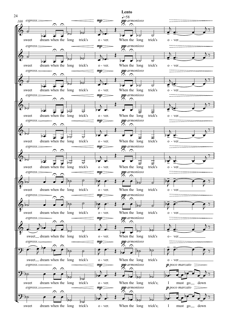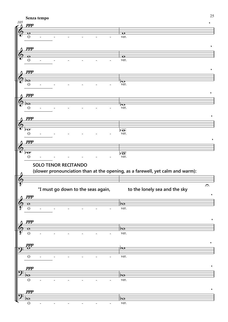